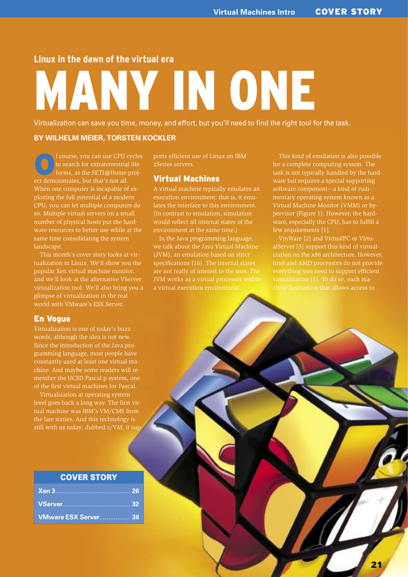## **Linux in the dawn of the virtual era**

# MANY IN ONE

Virtualization can save you time, money, and effort, but you'll need to find the right tool for the task.

#### **BY WILHELM MEIER, TORSTEN KOCKLER**

f course, you can use CPU cycles<br>to search for extraterrestrial life<br>forms, as the SETI@Home projto search for extraterrestrial life forms, as the SETI@Home project demonstrates, but that's not all. When one computer is incapable of exploiting the full potential of a modern CPU, you can let multiple computers do so. Multiple virtual servers on a small number of physical hosts put the hardware resources to better use while at the same time consolidating the system landscape.

This month's cover story looks at virtualization in Linux. We'll show you the popular Xen virtual machine monitor, and we'll look at the alternative VServer virtualization tool. We'll also bring you a glimpse of virtualization in the real world with VMware's ESX Server.

#### En Vogue

Virtualization is one of today's buzz words, although the idea is not new. Since the introduction of the Java programming language, most people have chine. And maybe some readers will remember the UCSD Pascal p system, one of the first virtual machines for Pascal.

Virtualization at operating system level goes back a long way. The first virtual machine was IBM's VM/CMS from the late sixties. And this technology is still with us today; dubbed z/VM, it sup

## COVER STORY

| VMware ESX Server 38 |  |
|----------------------|--|

ports efficient use of Linux on IBM zSeries servers.

#### Virtual Machines

A virtual machine typically emulates an execution environment: that is, it emulates the interface to this environment. (In contrast to emulation, simulation would reflect all internal states of the environment at the same time.)

In the Java programming language, we talk about the Java Virtual Machine (JVM), an emulation based on strict specifications [16]. The internal states are not really of interest to the user. The JVM works as a virtual processor within a virtual execution environment.

This kind of emulation is also possible for a complete computing system. The task is not typically handled by the hardware but requires a special supporting software component-- a kind of rudimentary operating system known as a Virtual Machine Monitor (VMM) or hypervisor (Figure 1). However, the hardware, especially the CPU, has to fulfill a few requirements [1].

VmWare [2] and VirtualPC or VirtualServer [3] support this kind of virtualization on the x86 architecture. However, Intel and AMD processors do not provide everything you need to support efficient chine instruction that allows access to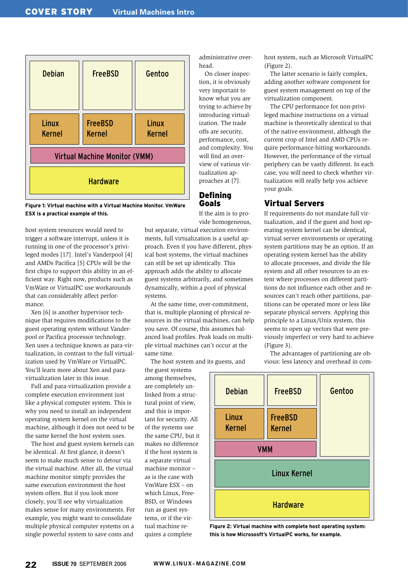

**Figure 1: Virtual machine with a Virtual Machine Monitor. VmWare ESX is a practical example of this.**

host system resources would need to trigger a software interrupt, unless it is running in one of the processor's privileged modes [17]. Intel's Vanderpool [4] and AMDs Pacifica [5] CPUs will be the first chips to support this ability in an efficient way. Right now, products such as VmWare or VirtualPC use workarounds that can considerably affect performance.

Xen [6] is another hypervisor technique that requires modifications to the guest operating system without Vanderpool or Pacifica processor technology. Xen uses a technique known as para-virtualization, in contrast to the full virtualization used by VmWare or VirtualPC. You'll learn more about Xen and paravirtualization later in this issue.

Full and para-virtualization provide a complete execution environment just like a physical computer system. This is why you need to install an independent operating system kernel on the virtual machine, although it does not need to be the same kernel the host system uses.

The host and guest system kernels can be identical. At first glance, it doesn't seem to make much sense to detour via the virtual machine. After all, the virtual machine monitor simply provides the same execution environment the host system offers. But if you look more closely, you'll see why virtualization makes sense for many environments. For example, you might want to consolidate multiple physical computer systems on a single powerful system to save costs and

administrative overhead.

On closer inspection, it is obviously very important to know what you are trying to achieve by introducing virtualization. The trade offs are security, performance, cost, and complexity. You will find an overview of various virtualization approaches at [7].

## Defining Goals

If the aim is to provide homogeneous,

but separate, virtual execution environments, full virtualization is a useful approach. Even if you have different, physical host systems, the virtual machines can still be set up identically. This approach adds the ability to allocate guest systems arbitrarily, and sometimes dynamically, within a pool of physical systems.

At the same time, over-commitment, that is, multiple planning of physical resources in the virtual machines, can help you save. Of course, this assumes balanced load profiles. Peak loads on multiple virtual machines can't occur at the same time.

The host system and its guests, and

the guest systems among themselves, are completely unlinked from a structural point of view, and this is important for security. All of the systems use the same CPU, but it makes no difference if the host system is a separate virtual machine monitor – as is the case with VmWare ESX – on which Linux, Free-BSD, or Windows run as guest systems, or if the virtual machine requires a complete

host system, such as Microsoft VirtualPC (Figure 2).

The latter scenario is fairly complex, adding another software component for guest system management on top of the virtualization component.

The CPU performance for non-privileged machine instructions on a virtual machine is theoretically identical to that of the native environment, although the current crop of Intel and AMD CPUs require performance-hitting workarounds. However, the performance of the virtual periphery can be vastly different. In each case, you will need to check whether virtualization will really help you achieve your goals.

## Virtual Servers

If requirements do not mandate full virtualization, and if the guest and host operating system kernel can be identical, virtual server environments or operating system partitions may be an option. If an operating system kernel has the ability to allocate processes, and divide the file system and all other resources to an extent where processes on different partitions do not influence each other and resources can't reach other partitions, partitions can be operated more or less like separate physical servers. Applying this principle to a Linux/Unix system, this seems to open up vectors that were previously imperfect or very hard to achieve (Figure 3).

The advantages of partitioning are obvious: less latency and overhead in com-



**Figure 2: Virtual machine with complete host operating system: this is how Micrososft's VirtualPC works, for example.**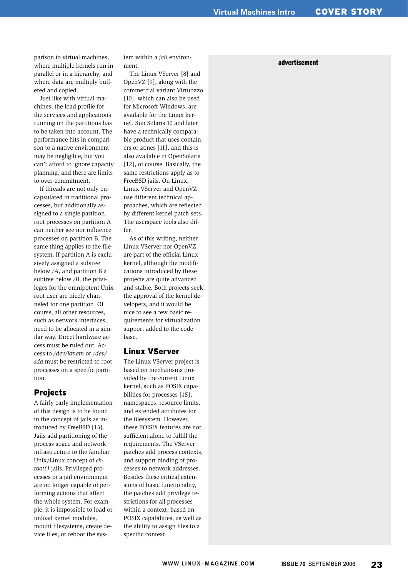parison to virtual machines, where multiple kernels run in parallel or in a hierarchy, and where data are multiply buffered and copied.

Just like with virtual machines, the load profile for the services and applications running on the partitions has to be taken into account. The performance hits in comparison to a native environment may be negligible, but you can't afford to ignore capacity planning, and there are limits to over-commitment.

If threads are not only encapsulated in traditional processes, but additionally assigned to a single partition, root processes on partition A can neither see nor influence processes on partition B. The same thing applies to the filesystem. If partition A is exclusively assigned a subtree below */A*, and partition B a subtree below */B*, the privileges for the omnipotent Unix root user are nicely channeled for one partition. Of course, all other resources, such as network interfaces, need to be allocated in a similar way. Direct hardware access must be ruled out. Access to */dev/kmem* or */dev/ sda* must be restricted to root processes on a specific partition.

### Projects

A fairly early implementation of this design is to be found in the concept of jails as introduced by FreeBSD [13]. Jails add partitioning of the process space and network infrastructure to the familiar Unix/Linux concept of *chroot()* jails. Privileged processes in a jail environment are no longer capable of performing actions that affect the whole system. For example, it is impossible to load or unload kernel modules, mount filesystems, create device files, or reboot the sys-

tem within a *jail* environment.

The Linux VServer [8] and OpenVZ [9], along with the commercial variant Virtuozzo [10], which can also be used for Microsoft Windows, are available for the Linux kernel. Sun Solaris 10 and later have a technically comparable product that uses containers or zones [11], and this is also available in OpenSolaris [12], of course. Basically, the same restrictions apply as to FreeBSD jails. On Linux, Linux VServer and OpenVZ use different technical approaches, which are reflected by different kernel patch sets. The userspace tools also differ.

As of this writing, neither Linux VServer nor OpenVZ are part of the official Linux kernel, although the modifications introduced by these projects are quite advanced and stable. Both projects seek the approval of the kernel developers, and it would be nice to see a few basic requirements for virtualization support added to the code base.

#### Linux VServer

The Linux VServer project is based on mechanisms provided by the current Linux kernel, such as POSIX capabilities for processes [15], namespaces, resource limits, and extended attributes for the filesystem. However, these POISIX features are not sufficient alone to fulfill the requirements. The VServer patches add process contexts, and support binding of processes to network addresses. Besides these critical extensions of basic functionality, the patches add privilege restrictions for all processes within a context, based on POSIX capabilities, as well as the ability to assign files to a specific context.

#### advertisement